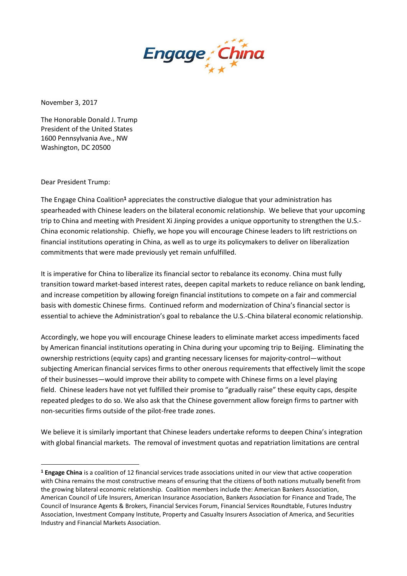

November 3, 2017

The Honorable Donald J. Trump President of the United States 1600 Pennsylvania Ave., NW Washington, DC 20500

Dear President Trump:

 $\overline{a}$ 

The Engage China Coalition**<sup>1</sup>** appreciates the constructive dialogue that your administration has spearheaded with Chinese leaders on the bilateral economic relationship. We believe that your upcoming trip to China and meeting with President Xi Jinping provides a unique opportunity to strengthen the U.S.- China economic relationship. Chiefly, we hope you will encourage Chinese leaders to lift restrictions on financial institutions operating in China, as well as to urge its policymakers to deliver on liberalization commitments that were made previously yet remain unfulfilled.

It is imperative for China to liberalize its financial sector to rebalance its economy. China must fully transition toward market-based interest rates, deepen capital markets to reduce reliance on bank lending, and increase competition by allowing foreign financial institutions to compete on a fair and commercial basis with domestic Chinese firms. Continued reform and modernization of China's financial sector is essential to achieve the Administration's goal to rebalance the U.S.-China bilateral economic relationship.

Accordingly, we hope you will encourage Chinese leaders to eliminate market access impediments faced by American financial institutions operating in China during your upcoming trip to Beijing. Eliminating the ownership restrictions (equity caps) and granting necessary licenses for majority-control—without subjecting American financial services firms to other onerous requirements that effectively limit the scope of their businesses—would improve their ability to compete with Chinese firms on a level playing field. Chinese leaders have not yet fulfilled their promise to "gradually raise" these equity caps, despite repeated pledges to do so. We also ask that the Chinese government allow foreign firms to partner with non-securities firms outside of the pilot-free trade zones.

We believe it is similarly important that Chinese leaders undertake reforms to deepen China's integration with global financial markets. The removal of investment quotas and repatriation limitations are central

**<sup>1</sup> Engage China** is a coalition of 12 financial services trade associations united in our view that active cooperation with China remains the most constructive means of ensuring that the citizens of both nations mutually benefit from the growing bilateral economic relationship. Coalition members include the: American Bankers Association, American Council of Life Insurers, American Insurance Association, Bankers Association for Finance and Trade, The Council of Insurance Agents & Brokers, Financial Services Forum, Financial Services Roundtable, Futures Industry Association, Investment Company Institute, Property and Casualty Insurers Association of America, and Securities Industry and Financial Markets Association.